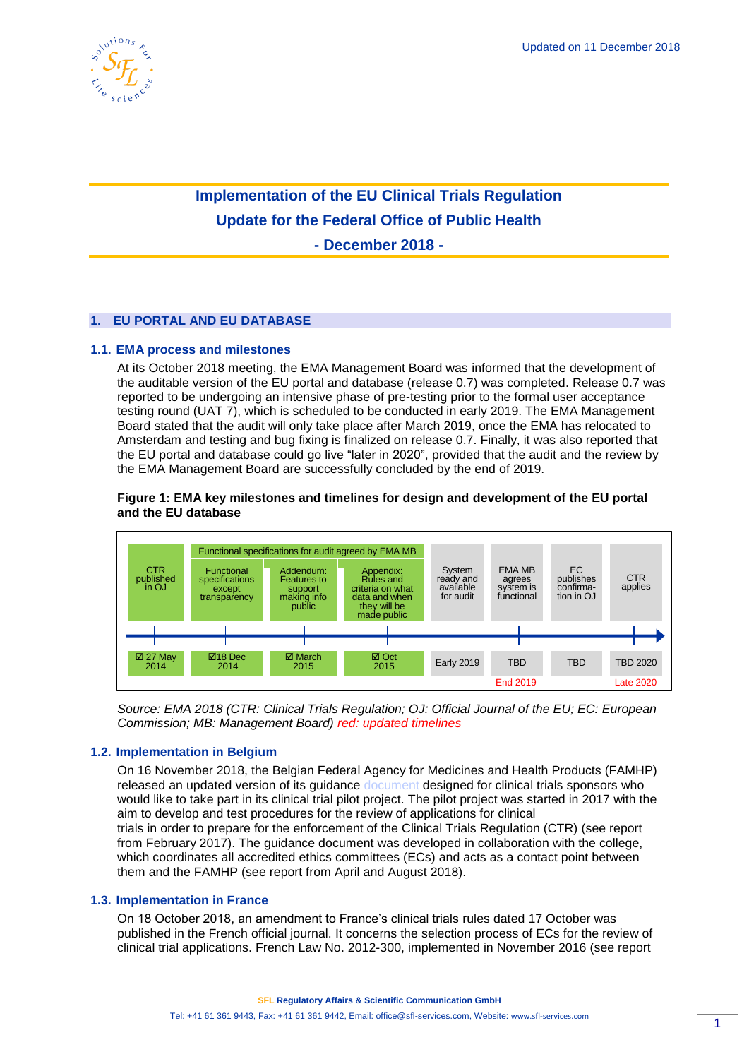

# **Implementation of the EU Clinical Trials Regulation Update for the Federal Office of Public Health**

**- December 2018 -**

# **1. EU PORTAL AND EU DATABASE**

# **1.1. EMA process and milestones**

At its October 2018 meeting, the EMA Management Board was informed that the development of the auditable version of the EU portal and database (release 0.7) was completed. Release 0.7 was reported to be undergoing an intensive phase of pre-testing prior to the formal user acceptance testing round (UAT 7), which is scheduled to be conducted in early 2019. The EMA Management Board stated that the audit will only take place after March 2019, once the EMA has relocated to Amsterdam and testing and bug fixing is finalized on release 0.7. Finally, it was also reported that the EU portal and database could go live "later in 2020", provided that the audit and the review by the EMA Management Board are successfully concluded by the end of 2019.

# **Figure 1: EMA key milestones and timelines for design and development of the EU portal and the EU database**



*Source: EMA 2018 (CTR: Clinical Trials Regulation; OJ: Official Journal of the EU; EC: European Commission; MB: Management Board) red: updated timelines*

# **1.2. Implementation in Belgium**

On 16 November 2018, the Belgian Federal Agency for Medicines and Health Products (FAMHP) released an updated version of its guidance [document](https://www.famhp.be/sites/default/files/content/ctr_pilot_project_guidance_for_sponsors_v5.0_16-11-2018_3.pdf) designed for clinical trials sponsors who would like to take part in its clinical trial pilot project. The pilot project was started in 2017 with the aim to develop and test procedures for the review of applications for clinical trials in order to prepare for the enforcement of the Clinical Trials Regulation (CTR) (see report from February 2017). The guidance document was developed in collaboration with the college, which coordinates all accredited ethics committees (ECs) and acts as a contact point between them and the FAMHP (see report from April and August 2018).

# **1.3. Implementation in France**

On 18 October 2018, an amendment to France's clinical trials rules dated 17 October was published in the French official journal. It concerns the selection process of ECs for the review of clinical trial applications. French Law No. 2012-300, implemented in November 2016 (see report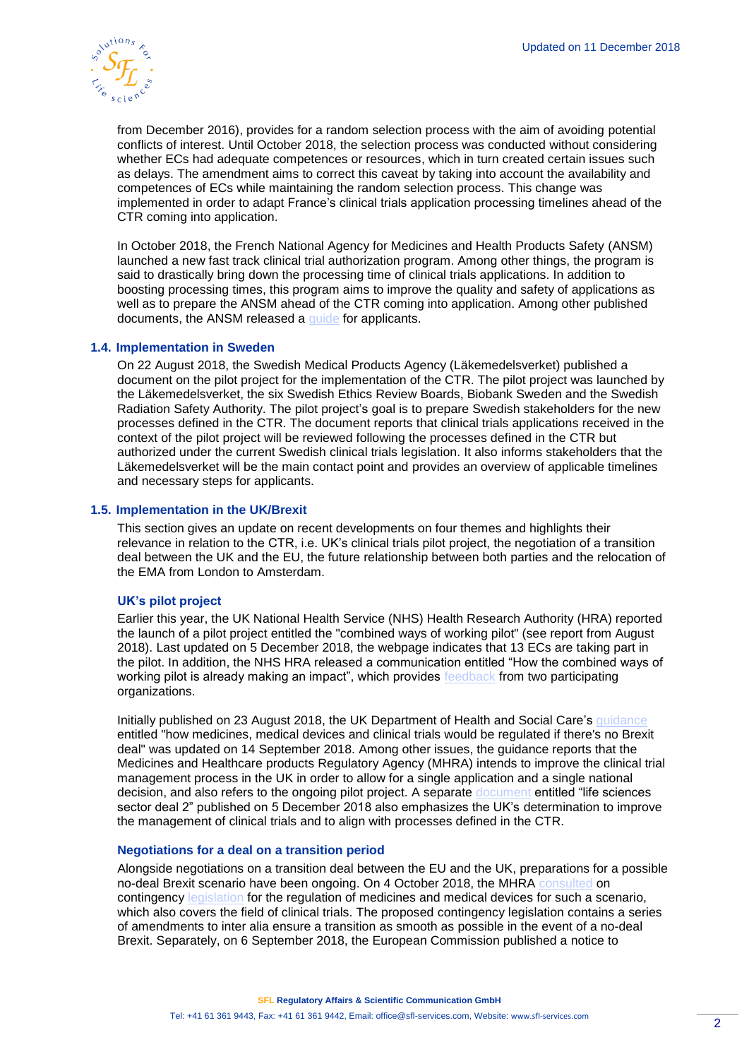

from December 2016), provides for a random selection process with the aim of avoiding potential conflicts of interest. Until October 2018, the selection process was conducted without considering whether ECs had adequate competences or resources, which in turn created certain issues such as delays. The amendment aims to correct this caveat by taking into account the availability and competences of ECs while maintaining the random selection process. This change was implemented in order to adapt France's clinical trials application processing timelines ahead of the CTR coming into application.

In October 2018, the French National Agency for Medicines and Health Products Safety (ANSM) launched a new fast track clinical trial authorization program. Among other things, the program is said to drastically bring down the processing time of clinical trials applications. In addition to boosting processing times, this program aims to improve the quality and safety of applications as well as to prepare the ANSM ahead of the CTR coming into application. Among other published documents, the ANSM released a [guide](https://www.ansm.sante.fr/var/ansm_site/storage/original/application/42df327468624f1ce1862ef562c1cc30.pdf) for applicants.

# **1.4. Implementation in Sweden**

On 22 August 2018, the Swedish Medical Products Agency (Läkemedelsverket) published a document on the pilot project for the implementation of the CTR. The pilot project was launched by the Läkemedelsverket, the six Swedish Ethics Review Boards, Biobank Sweden and the Swedish Radiation Safety Authority. The pilot project's goal is to prepare Swedish stakeholders for the new processes defined in the CTR. The document reports that clinical trials applications received in the context of the pilot project will be reviewed following the processes defined in the CTR but authorized under the current Swedish clinical trials legislation. It also informs stakeholders that the Läkemedelsverket will be the main contact point and provides an overview of applicable timelines and necessary steps for applicants.

# **1.5. Implementation in the UK/Brexit**

This section gives an update on recent developments on four themes and highlights their relevance in relation to the CTR, i.e. UK's clinical trials pilot project, the negotiation of a transition deal between the UK and the EU, the future relationship between both parties and the relocation of the EMA from London to Amsterdam.

# **UK's pilot project**

Earlier this year, the UK National Health Service (NHS) Health Research Authority (HRA) reported the launch of a pilot project entitled the "combined ways of working pilot" (see report from August 2018). Last updated on 5 December 2018, the webpage indicates that 13 ECs are taking part in the pilot. In addition, the NHS HRA released a communication entitled "How the combined ways of working pilot is already making an impact", which provides [feedback](https://www.hra.nhs.uk/planning-and-improving-research/policies-standards-legislation/clinical-trials-investigational-medicinal-products-ctimps/combined-ways-working-pilot/how-combined-ways-working-pilot-already-making-impact/) from two participating organizations.

Initially published on 23 August 2018, the UK Department of Health and Social Care's [guidance](https://www.gov.uk/government/publications/how-medicines-medical-devices-and-clinical-trials-would-be-regulated-if-theres-no-brexit-deal/how-medicines-medical-devices-and-clinical-trials-would-be-regulated-if-theres-no-brexit-deal) entitled "how medicines, medical devices and clinical trials would be regulated if there's no Brexit deal" was updated on 14 September 2018. Among other issues, the guidance reports that the Medicines and Healthcare products Regulatory Agency (MHRA) intends to improve the clinical trial management process in the UK in order to allow for a single application and a single national decision, and also refers to the ongoing pilot project. A separate [document](https://www.gov.uk/government/publications/life-sciences-sector-deal/life-sciences-sector-deal-2-2018) entitled "life sciences sector deal 2" published on 5 December 2018 also emphasizes the UK's determination to improve the management of clinical trials and to align with processes defined in the CTR.

# **Negotiations for a deal on a transition period**

Alongside negotiations on a transition deal between the EU and the UK, preparations for a possible no-deal Brexit scenario have been ongoing. On 4 October 2018, the MHRA [consulted](https://consultations.dh.gov.uk/mhra/mhra-no-deal-contingency-legislation-for-the-regul/user_uploads/consultation-printout-2.pdf) on contingency [legislation](https://consultations.dh.gov.uk/mhra/mhra-no-deal-contingency-legislation-for-the-regul/user_uploads/consultation-legal-text-1.pdf) for the regulation of medicines and medical devices for such a scenario, which also covers the field of clinical trials. The proposed contingency legislation contains a series of amendments to inter alia ensure a transition as smooth as possible in the event of a no-deal Brexit. Separately, on 6 September 2018, the European Commission published a notice to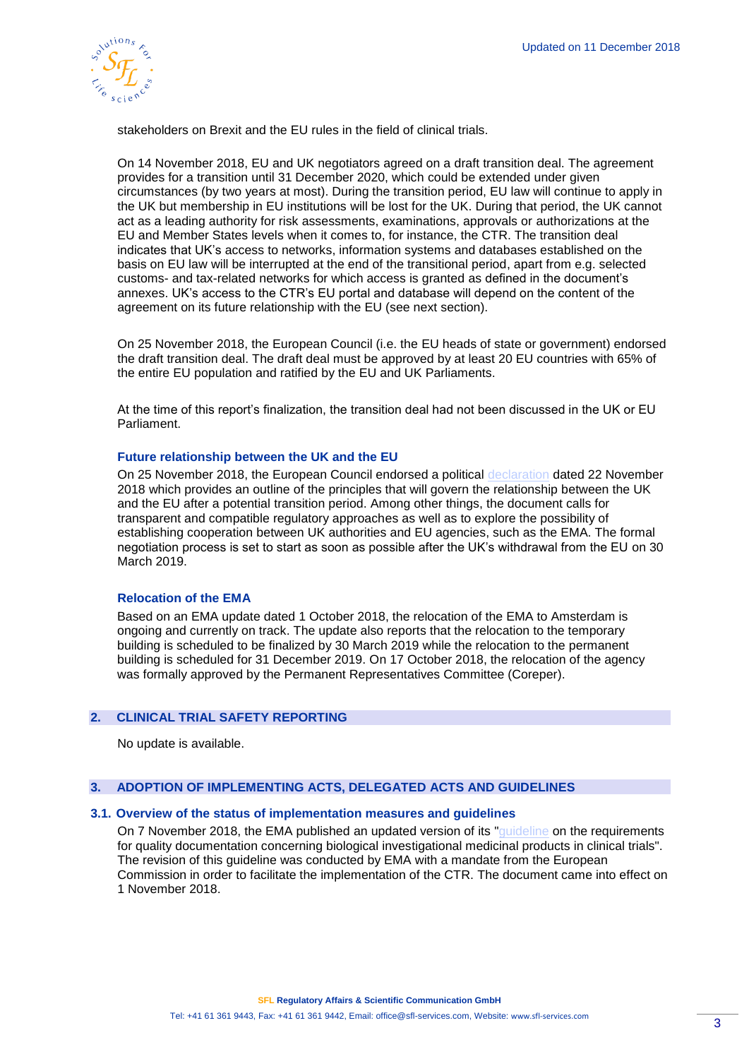

stakeholders on Brexit and the EU rules in the field of clinical trials.

On 14 November 2018, EU and UK negotiators agreed on a [draft](https://assets.publishing.service.gov.uk/government/uploads/system/uploads/attachment_data/file/759019/25_November_Agreement_on_the_withdrawal_of_the_United_Kingdom_of_Great_Britain_and_Northern_Ireland_from_the_European_Union_and_the_European_Atomic_Energy_Community.pdf) transition deal. The agreement provides for a transition until 31 December 2020, which could be extended under given circumstances (by two years at most). During the transition period, EU law will continue to apply in the UK but membership in EU institutions will be lost for the UK. During that period, the UK cannot act as a leading authority for risk assessments, examinations, approvals or authorizations at the EU and Member States levels when it comes to, for instance, the CTR. The transition deal indicates that UK's access to networks, information systems and databases established on the basis on EU law will be interrupted at the end of the transitional period, apart from e.g. selected customs- and tax-related networks for which access is granted as defined in the document's annexes. UK's access to the CTR's EU portal and database will depend on the content of the agreement on its future relationship with the EU (see next section).

On 25 November 2018, the European Council (i.e. the EU heads of state or government) endorsed the draft transition deal. The draft deal must be approved by at least 20 EU countries with 65% of the entire EU population and ratified by the EU and UK Parliaments.

At the time of this report's finalization, the transition deal had not been discussed in the UK or EU Parliament.

#### **Future relationship between the UK and the EU**

On 25 November 2018, the European Council endorsed a political [declaration](http://data.consilium.europa.eu/doc/document/XT-21095-2018-INIT/en/pdf) dated 22 November 2018 which provides an outline of the principles that will govern the relationship between the UK and the EU after a potential transition period. Among other things, the document calls for transparent and compatible regulatory approaches as well as to explore the possibility of establishing cooperation between UK authorities and EU agencies, such as the EMA. The formal negotiation process is set to start as soon as possible after the UK's withdrawal from the EU on 30 March 2019.

#### **Relocation of the EMA**

Based on an EMA update dated 1 October 2018, the relocation of the EMA to Amsterdam is ongoing and currently on track. The update also reports that the relocation to the temporary building is scheduled to be finalized by 30 March 2019 while the relocation to the permanent building is scheduled for 31 December 2019. On 17 October 2018, the relocation of the agency was formally approved by the Permanent Representatives Committee (Coreper).

# **2. CLINICAL TRIAL SAFETY REPORTING**

No update is available.

# **3. ADOPTION OF IMPLEMENTING ACTS, DELEGATED ACTS AND GUIDELINES**

# **3.1. Overview of the status of implementation measures and guidelines**

On 7 November 2018, the EMA published an updated version of its "quideline on the requirements for quality documentation concerning biological investigational medicinal products in clinical trials". The revision of this guideline was conducted by EMA with a mandate from the European Commission in order to facilitate the implementation of the CTR. The document came into effect on 1 November 2018.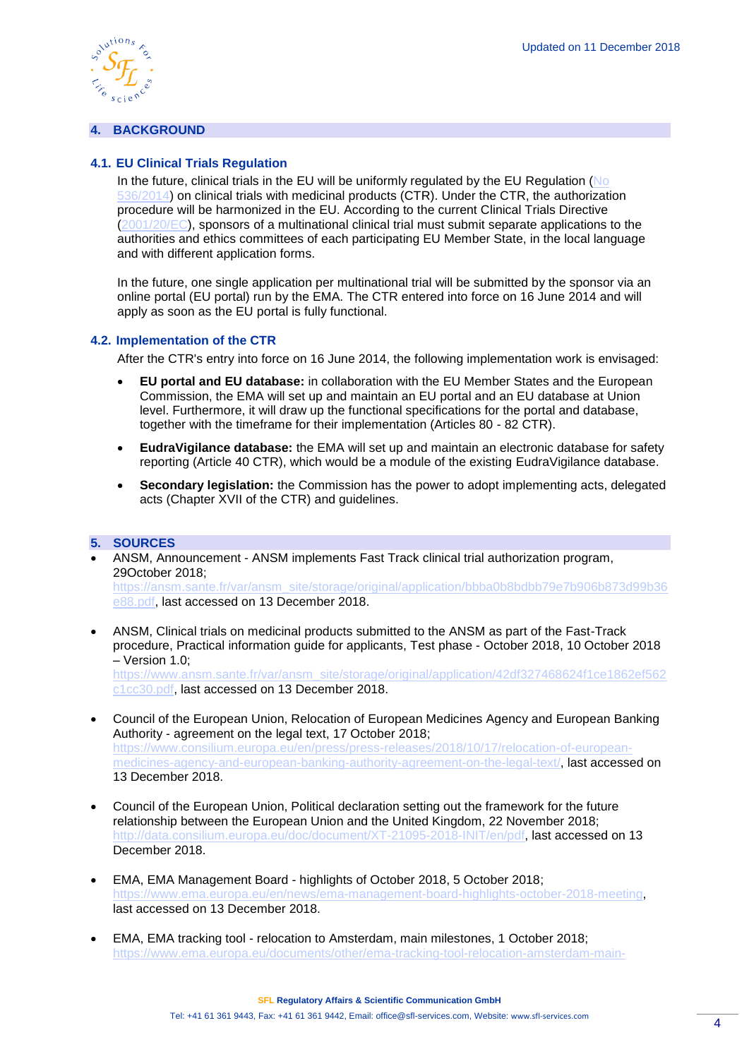

# **4. BACKGROUND**

# **4.1. EU Clinical Trials Regulation**

In the future, clinical trials in the EU will be uniformly regulated by the EU Regulation ( $No$ [536/2014\)](http://eur-lex.europa.eu/legal-content/EN/TXT/PDF/?uri=CELEX:32014R0536&from=EN) on clinical trials with medicinal products (CTR). Under the CTR, the authorization procedure will be harmonized in the EU. According to the current Clinical Trials Directive [\(2001/20/EC\)](http://eur-lex.europa.eu/legal-content/EN/TXT/?qid=1498489090986&uri=CELEX:32001L0020), sponsors of a multinational clinical trial must submit separate applications to the authorities and ethics committees of each participating EU Member State, in the local language and with different application forms.

In the future, one single application per multinational trial will be submitted by the sponsor via an online portal (EU portal) run by the EMA. The CTR entered into force on 16 June 2014 and will apply as soon as the EU portal is fully functional.

# **4.2. Implementation of the CTR**

After the CTR's entry into force on 16 June 2014, the following implementation work is envisaged:

- **EU portal and EU database:** in collaboration with the EU Member States and the European Commission, the EMA will set up and maintain an EU portal and an EU database at Union level. Furthermore, it will draw up the functional specifications for the portal and database, together with the timeframe for their implementation (Articles 80 - 82 CTR).
- **EudraVigilance database:** the EMA will set up and maintain an electronic database for safety reporting (Article 40 CTR), which would be a module of the existing EudraVigilance database.
- **Secondary legislation:** the Commission has the power to adopt implementing acts, delegated acts (Chapter XVII of the CTR) and guidelines.

# **5. SOURCES**

• ANSM, Announcement - ANSM implements Fast Track clinical trial authorization program, 29October 2018;

[https://ansm.sante.fr/var/ansm\\_site/storage/original/application/bbba0b8bdbb79e7b906b873d99b36](https://ansm.sante.fr/var/ansm_site/storage/original/application/bbba0b8bdbb79e7b906b873d99b36e88.pdf) [e88.pdf,](https://ansm.sante.fr/var/ansm_site/storage/original/application/bbba0b8bdbb79e7b906b873d99b36e88.pdf) last accessed on 13 December 2018.

• ANSM, Clinical trials on medicinal products submitted to the ANSM as part of the Fast-Track procedure, Practical information guide for applicants, Test phase - October 2018, 10 October 2018 – Version 1.0; [https://www.ansm.sante.fr/var/ansm\\_site/storage/original/application/42df327468624f1ce1862ef562](https://www.ansm.sante.fr/var/ansm_site/storage/original/application/42df327468624f1ce1862ef562c1cc30.pdf)

[c1cc30.pdf,](https://www.ansm.sante.fr/var/ansm_site/storage/original/application/42df327468624f1ce1862ef562c1cc30.pdf) last accessed on 13 December 2018.

- Council of the European Union, Relocation of European Medicines Agency and European Banking Authority - agreement on the legal text, 17 October 2018; [https://www.consilium.europa.eu/en/press/press-releases/2018/10/17/relocation-of-european](https://www.consilium.europa.eu/en/press/press-releases/2018/10/17/relocation-of-european-medicines-agency-and-european-banking-authority-agreement-on-the-legal-text/)[medicines-agency-and-european-banking-authority-agreement-on-the-legal-text/,](https://www.consilium.europa.eu/en/press/press-releases/2018/10/17/relocation-of-european-medicines-agency-and-european-banking-authority-agreement-on-the-legal-text/) last accessed on 13 December 2018.
- Council of the European Union, Political declaration setting out the framework for the future relationship between the European Union and the United Kingdom, 22 November 2018; [http://data.consilium.europa.eu/doc/document/XT-21095-2018-INIT/en/pdf,](http://data.consilium.europa.eu/doc/document/XT-21095-2018-INIT/en/pdf) last accessed on 13 December 2018.
- EMA, EMA Management Board highlights of October 2018, 5 October 2018; [https://www.ema.europa.eu/en/news/ema-management-board-highlights-october-2018-meeting,](https://www.ema.europa.eu/en/news/ema-management-board-highlights-october-2018-meeting) last accessed on 13 December 2018.
- EMA, EMA tracking tool relocation to Amsterdam, main milestones, 1 October 2018; [https://www.ema.europa.eu/documents/other/ema-tracking-tool-relocation-amsterdam-main-](https://www.ema.europa.eu/documents/other/ema-tracking-tool-relocation-amsterdam-main-milestones_en-0.pdf)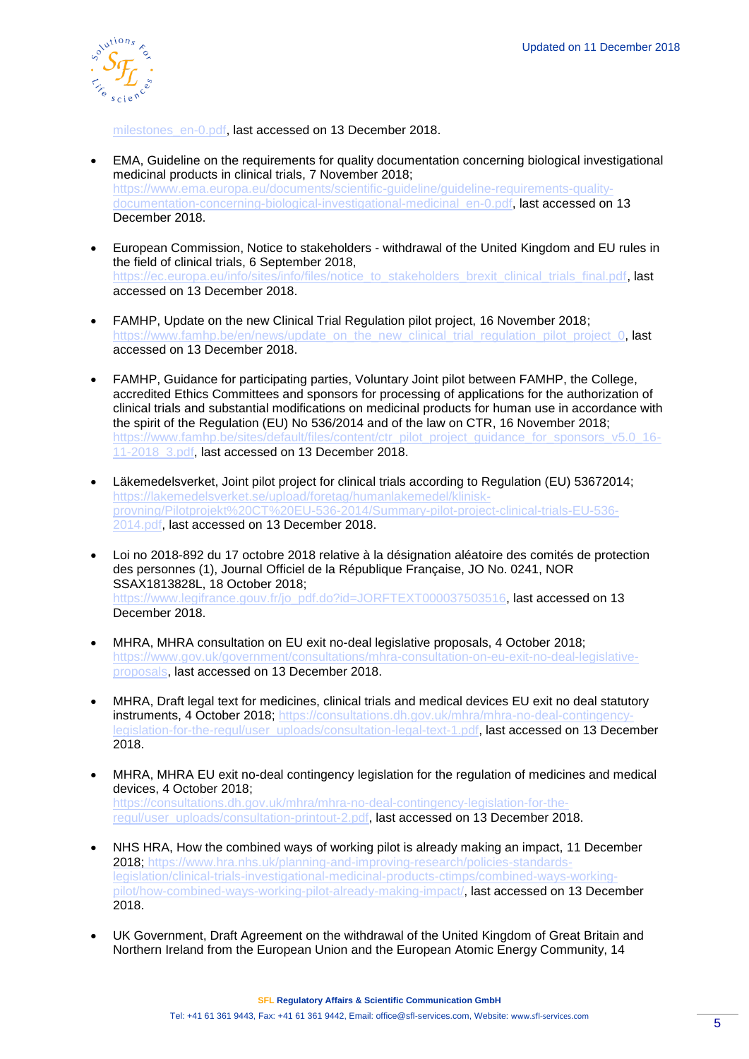

[milestones\\_en-0.pdf,](https://www.ema.europa.eu/documents/other/ema-tracking-tool-relocation-amsterdam-main-milestones_en-0.pdf) last accessed on 13 December 2018.

- EMA, Guideline on the requirements for quality documentation concerning biological investigational medicinal products in clinical trials, 7 November 2018; [https://www.ema.europa.eu/documents/scientific-guideline/guideline-requirements-quality](https://www.ema.europa.eu/documents/scientific-guideline/guideline-requirements-quality-documentation-concerning-biological-investigational-medicinal_en-0.pdf)[documentation-concerning-biological-investigational-medicinal\\_en-0.pdf,](https://www.ema.europa.eu/documents/scientific-guideline/guideline-requirements-quality-documentation-concerning-biological-investigational-medicinal_en-0.pdf) last accessed on 13 December 2018.
- European Commission, Notice to stakeholders withdrawal of the United Kingdom and EU rules in the field of clinical trials, 6 September 2018, [https://ec.europa.eu/info/sites/info/files/notice\\_to\\_stakeholders\\_brexit\\_clinical\\_trials\\_final.pdf,](https://ec.europa.eu/info/sites/info/files/notice_to_stakeholders_brexit_clinical_trials_final.pdf) last accessed on 13 December 2018.
- FAMHP, Update on the new Clinical Trial Regulation pilot project, 16 November 2018; [https://www.famhp.be/en/news/update\\_on\\_the\\_new\\_clinical\\_trial\\_regulation\\_pilot\\_project\\_0,](https://www.famhp.be/en/news/update_on_the_new_clinical_trial_regulation_pilot_project_0) last accessed on 13 December 2018.
- FAMHP, Guidance for participating parties, Voluntary Joint pilot between FAMHP, the College, accredited Ethics Committees and sponsors for processing of applications for the authorization of clinical trials and substantial modifications on medicinal products for human use in accordance with the spirit of the Regulation (EU) No 536/2014 and of the law on CTR, 16 November 2018; [https://www.famhp.be/sites/default/files/content/ctr\\_pilot\\_project\\_guidance\\_for\\_sponsors\\_v5.0\\_16-](https://www.famhp.be/sites/default/files/content/ctr_pilot_project_guidance_for_sponsors_v5.0_16-11-2018_3.pdf) 11-2018 3.pdf, last accessed on 13 December 2018.
- Läkemedelsverket, Joint pilot project for clinical trials according to Regulation (EU) 53672014; [https://lakemedelsverket.se/upload/foretag/humanlakemedel/klinisk](https://lakemedelsverket.se/upload/foretag/humanlakemedel/klinisk-provning/Pilotprojekt%20CT%20EU-536-2014/Summary-pilot-project-clinical-trials-EU-536-2014.pdf)[provning/Pilotprojekt%20CT%20EU-536-2014/Summary-pilot-project-clinical-trials-EU-536-](https://lakemedelsverket.se/upload/foretag/humanlakemedel/klinisk-provning/Pilotprojekt%20CT%20EU-536-2014/Summary-pilot-project-clinical-trials-EU-536-2014.pdf) [2014.pdf,](https://lakemedelsverket.se/upload/foretag/humanlakemedel/klinisk-provning/Pilotprojekt%20CT%20EU-536-2014/Summary-pilot-project-clinical-trials-EU-536-2014.pdf) last accessed on 13 December 2018.
- Loi no 2018-892 du 17 octobre 2018 relative à la désignation aléatoire des comités de protection des personnes (1), Journal Officiel de la République Française, JO No. 0241, NOR SSAX1813828L, 18 October 2018; [https://www.legifrance.gouv.fr/jo\\_pdf.do?id=JORFTEXT000037503516,](https://www.legifrance.gouv.fr/jo_pdf.do?id=JORFTEXT000037503516) last accessed on 13 December 2018.
- MHRA, MHRA consultation on EU exit no-deal legislative proposals, 4 October 2018; [https://www.gov.uk/government/consultations/mhra-consultation-on-eu-exit-no-deal-legislative](https://www.gov.uk/government/consultations/mhra-consultation-on-eu-exit-no-deal-legislative-proposals)[proposals,](https://www.gov.uk/government/consultations/mhra-consultation-on-eu-exit-no-deal-legislative-proposals) last accessed on 13 December 2018.
- MHRA, Draft legal text for medicines, clinical trials and medical devices EU exit no deal statutory instruments, 4 October 2018; https://consultations.dh.gov.uk/mhra/mhra-no-deal-contingency [legislation-for-the-regul/user\\_uploads/consultation-legal-text-1.pdf,](https://consultations.dh.gov.uk/mhra/mhra-no-deal-contingency-legislation-for-the-regul/user_uploads/consultation-legal-text-1.pdf) last accessed on 13 December 2018.
- MHRA, MHRA EU exit no-deal contingency legislation for the regulation of medicines and medical devices, 4 October 2018; [https://consultations.dh.gov.uk/mhra/mhra-no-deal-contingency-legislation-for-the](https://consultations.dh.gov.uk/mhra/mhra-no-deal-contingency-legislation-for-the-regul/user_uploads/consultation-printout-2.pdf)[regul/user\\_uploads/consultation-printout-2.pdf,](https://consultations.dh.gov.uk/mhra/mhra-no-deal-contingency-legislation-for-the-regul/user_uploads/consultation-printout-2.pdf) last accessed on 13 December 2018.
- NHS HRA, How the combined ways of working pilot is already making an impact, 11 December 2018; https://www.hra.nhs.uk/planning-and-improving-research/policies-standards [legislation/clinical-trials-investigational-medicinal-products-ctimps/combined-ways-working](https://www.hra.nhs.uk/planning-and-improving-research/policies-standards-legislation/clinical-trials-investigational-medicinal-products-ctimps/combined-ways-working-pilot/how-combined-ways-working-pilot-already-making-impact/)[pilot/how-combined-ways-working-pilot-already-making-impact/,](https://www.hra.nhs.uk/planning-and-improving-research/policies-standards-legislation/clinical-trials-investigational-medicinal-products-ctimps/combined-ways-working-pilot/how-combined-ways-working-pilot-already-making-impact/) last accessed on 13 December 2018.
- UK Government, Draft Agreement on the withdrawal of the United Kingdom of Great Britain and Northern Ireland from the European Union and the European Atomic Energy Community, 14